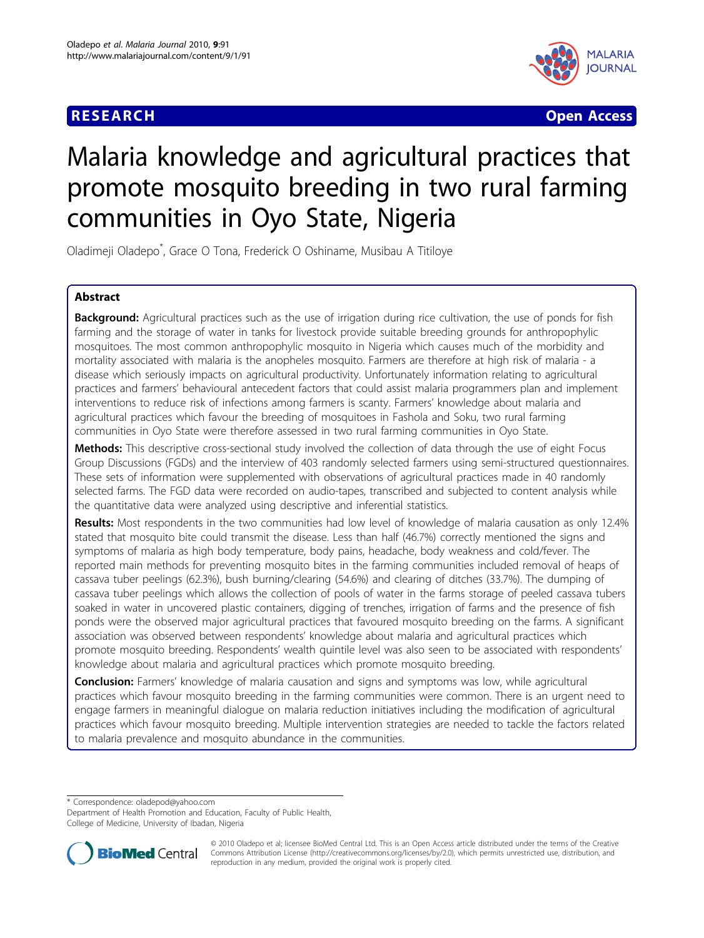# **RESEARCH CONTROL** CONTROL CONTROL CONTROL CONTROL CONTROL CONTROL CONTROL CONTROL CONTROL CONTROL CONTROL CONTROL CONTROL CONTROL CONTROL CONTROL CONTROL CONTROL CONTROL CONTROL CONTROL CONTROL CONTROL CONTROL CONTROL CON



# Malaria knowledge and agricultural practices that promote mosquito breeding in two rural farming communities in Oyo State, Nigeria

Oladimeji Oladepo\* , Grace O Tona, Frederick O Oshiname, Musibau A Titiloye

# Abstract

Background: Agricultural practices such as the use of irrigation during rice cultivation, the use of ponds for fish farming and the storage of water in tanks for livestock provide suitable breeding grounds for anthropophylic mosquitoes. The most common anthropophylic mosquito in Nigeria which causes much of the morbidity and mortality associated with malaria is the anopheles mosquito. Farmers are therefore at high risk of malaria - a disease which seriously impacts on agricultural productivity. Unfortunately information relating to agricultural practices and farmers' behavioural antecedent factors that could assist malaria programmers plan and implement interventions to reduce risk of infections among farmers is scanty. Farmers' knowledge about malaria and agricultural practices which favour the breeding of mosquitoes in Fashola and Soku, two rural farming communities in Oyo State were therefore assessed in two rural farming communities in Oyo State.

Methods: This descriptive cross-sectional study involved the collection of data through the use of eight Focus Group Discussions (FGDs) and the interview of 403 randomly selected farmers using semi-structured questionnaires. These sets of information were supplemented with observations of agricultural practices made in 40 randomly selected farms. The FGD data were recorded on audio-tapes, transcribed and subjected to content analysis while the quantitative data were analyzed using descriptive and inferential statistics.

Results: Most respondents in the two communities had low level of knowledge of malaria causation as only 12.4% stated that mosquito bite could transmit the disease. Less than half (46.7%) correctly mentioned the signs and symptoms of malaria as high body temperature, body pains, headache, body weakness and cold/fever. The reported main methods for preventing mosquito bites in the farming communities included removal of heaps of cassava tuber peelings (62.3%), bush burning/clearing (54.6%) and clearing of ditches (33.7%). The dumping of cassava tuber peelings which allows the collection of pools of water in the farms storage of peeled cassava tubers soaked in water in uncovered plastic containers, digging of trenches, irrigation of farms and the presence of fish ponds were the observed major agricultural practices that favoured mosquito breeding on the farms. A significant association was observed between respondents' knowledge about malaria and agricultural practices which promote mosquito breeding. Respondents' wealth quintile level was also seen to be associated with respondents' knowledge about malaria and agricultural practices which promote mosquito breeding.

**Conclusion:** Farmers' knowledge of malaria causation and signs and symptoms was low, while agricultural practices which favour mosquito breeding in the farming communities were common. There is an urgent need to engage farmers in meaningful dialogue on malaria reduction initiatives including the modification of agricultural practices which favour mosquito breeding. Multiple intervention strategies are needed to tackle the factors related to malaria prevalence and mosquito abundance in the communities.

\* Correspondence: [oladepod@yahoo.com](mailto:oladepod@yahoo.com)

Department of Health Promotion and Education, Faculty of Public Health, College of Medicine, University of Ibadan, Nigeria



© 2010 Oladepo et al; licensee BioMed Central Ltd. This is an Open Access article distributed under the terms of the Creative Commons Attribution License [\(http://creativecommons.org/licenses/by/2.0](http://creativecommons.org/licenses/by/2.0)), which permits unrestricted use, distribution, and reproduction in any medium, provided the original work is properly cited.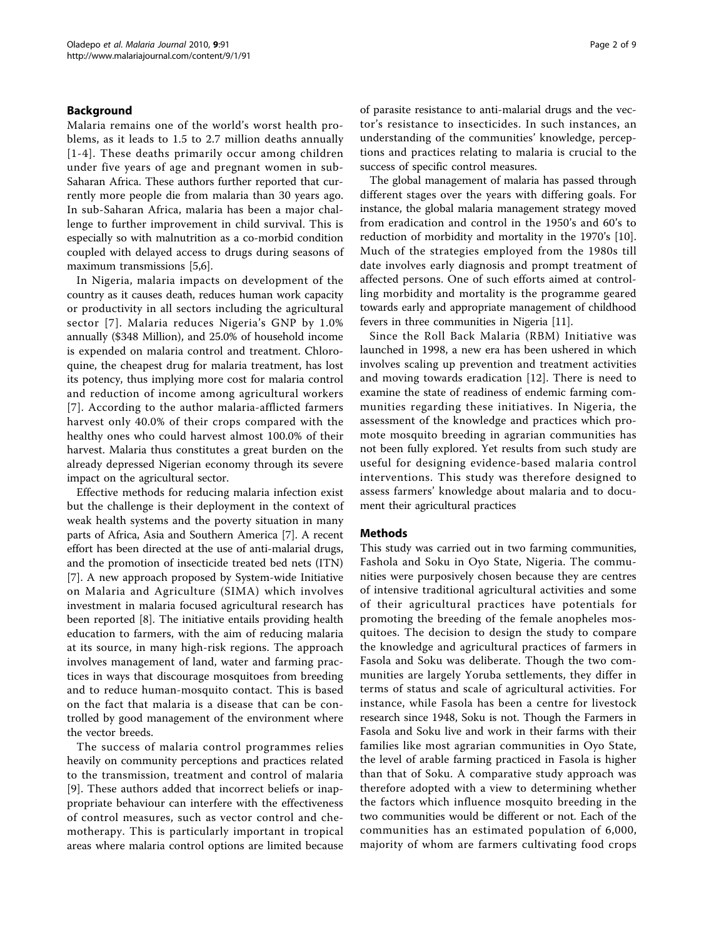# Background

Malaria remains one of the world's worst health problems, as it leads to 1.5 to 2.7 million deaths annually [[1-4\]](#page-8-0). These deaths primarily occur among children under five years of age and pregnant women in sub-Saharan Africa. These authors further reported that currently more people die from malaria than 30 years ago. In sub-Saharan Africa, malaria has been a major challenge to further improvement in child survival. This is especially so with malnutrition as a co-morbid condition coupled with delayed access to drugs during seasons of maximum transmissions [\[5,6\]](#page-8-0).

In Nigeria, malaria impacts on development of the country as it causes death, reduces human work capacity or productivity in all sectors including the agricultural sector [[7](#page-8-0)]. Malaria reduces Nigeria's GNP by 1.0% annually (\$348 Million), and 25.0% of household income is expended on malaria control and treatment. Chloroquine, the cheapest drug for malaria treatment, has lost its potency, thus implying more cost for malaria control and reduction of income among agricultural workers [[7](#page-8-0)]. According to the author malaria-afflicted farmers harvest only 40.0% of their crops compared with the healthy ones who could harvest almost 100.0% of their harvest. Malaria thus constitutes a great burden on the already depressed Nigerian economy through its severe impact on the agricultural sector.

Effective methods for reducing malaria infection exist but the challenge is their deployment in the context of weak health systems and the poverty situation in many parts of Africa, Asia and Southern America [[7\]](#page-8-0). A recent effort has been directed at the use of anti-malarial drugs, and the promotion of insecticide treated bed nets (ITN) [[7\]](#page-8-0). A new approach proposed by System-wide Initiative on Malaria and Agriculture (SIMA) which involves investment in malaria focused agricultural research has been reported [[8\]](#page-8-0). The initiative entails providing health education to farmers, with the aim of reducing malaria at its source, in many high-risk regions. The approach involves management of land, water and farming practices in ways that discourage mosquitoes from breeding and to reduce human-mosquito contact. This is based on the fact that malaria is a disease that can be controlled by good management of the environment where the vector breeds.

The success of malaria control programmes relies heavily on community perceptions and practices related to the transmission, treatment and control of malaria [[9\]](#page-8-0). These authors added that incorrect beliefs or inappropriate behaviour can interfere with the effectiveness of control measures, such as vector control and chemotherapy. This is particularly important in tropical areas where malaria control options are limited because of parasite resistance to anti-malarial drugs and the vector's resistance to insecticides. In such instances, an understanding of the communities' knowledge, perceptions and practices relating to malaria is crucial to the success of specific control measures.

The global management of malaria has passed through different stages over the years with differing goals. For instance, the global malaria management strategy moved from eradication and control in the 1950's and 60's to reduction of morbidity and mortality in the 1970's [\[10](#page-8-0)]. Much of the strategies employed from the 1980s till date involves early diagnosis and prompt treatment of affected persons. One of such efforts aimed at controlling morbidity and mortality is the programme geared towards early and appropriate management of childhood fevers in three communities in Nigeria [[11\]](#page-8-0).

Since the Roll Back Malaria (RBM) Initiative was launched in 1998, a new era has been ushered in which involves scaling up prevention and treatment activities and moving towards eradication [[12\]](#page-8-0). There is need to examine the state of readiness of endemic farming communities regarding these initiatives. In Nigeria, the assessment of the knowledge and practices which promote mosquito breeding in agrarian communities has not been fully explored. Yet results from such study are useful for designing evidence-based malaria control interventions. This study was therefore designed to assess farmers' knowledge about malaria and to document their agricultural practices

# Methods

This study was carried out in two farming communities, Fashola and Soku in Oyo State, Nigeria. The communities were purposively chosen because they are centres of intensive traditional agricultural activities and some of their agricultural practices have potentials for promoting the breeding of the female anopheles mosquitoes. The decision to design the study to compare the knowledge and agricultural practices of farmers in Fasola and Soku was deliberate. Though the two communities are largely Yoruba settlements, they differ in terms of status and scale of agricultural activities. For instance, while Fasola has been a centre for livestock research since 1948, Soku is not. Though the Farmers in Fasola and Soku live and work in their farms with their families like most agrarian communities in Oyo State, the level of arable farming practiced in Fasola is higher than that of Soku. A comparative study approach was therefore adopted with a view to determining whether the factors which influence mosquito breeding in the two communities would be different or not. Each of the communities has an estimated population of 6,000, majority of whom are farmers cultivating food crops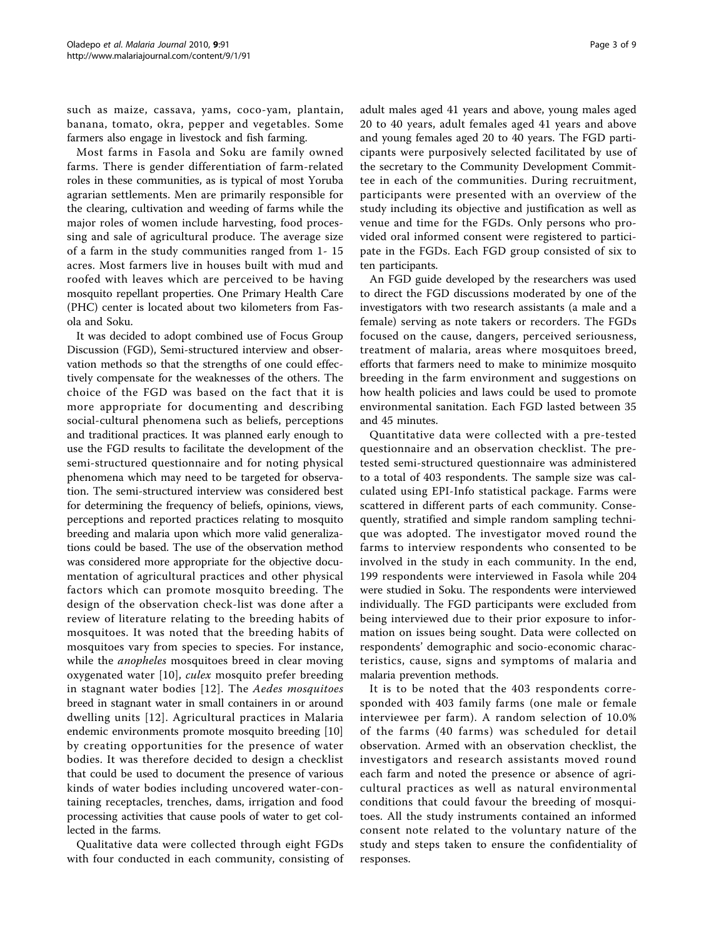such as maize, cassava, yams, coco-yam, plantain, banana, tomato, okra, pepper and vegetables. Some farmers also engage in livestock and fish farming.

Most farms in Fasola and Soku are family owned farms. There is gender differentiation of farm-related roles in these communities, as is typical of most Yoruba agrarian settlements. Men are primarily responsible for the clearing, cultivation and weeding of farms while the major roles of women include harvesting, food processing and sale of agricultural produce. The average size of a farm in the study communities ranged from 1- 15 acres. Most farmers live in houses built with mud and roofed with leaves which are perceived to be having mosquito repellant properties. One Primary Health Care (PHC) center is located about two kilometers from Fasola and Soku.

It was decided to adopt combined use of Focus Group Discussion (FGD), Semi-structured interview and observation methods so that the strengths of one could effectively compensate for the weaknesses of the others. The choice of the FGD was based on the fact that it is more appropriate for documenting and describing social-cultural phenomena such as beliefs, perceptions and traditional practices. It was planned early enough to use the FGD results to facilitate the development of the semi-structured questionnaire and for noting physical phenomena which may need to be targeted for observation. The semi-structured interview was considered best for determining the frequency of beliefs, opinions, views, perceptions and reported practices relating to mosquito breeding and malaria upon which more valid generalizations could be based. The use of the observation method was considered more appropriate for the objective documentation of agricultural practices and other physical factors which can promote mosquito breeding. The design of the observation check-list was done after a review of literature relating to the breeding habits of mosquitoes. It was noted that the breeding habits of mosquitoes vary from species to species. For instance, while the *anopheles* mosquitoes breed in clear moving oxygenated water [[10\]](#page-8-0), culex mosquito prefer breeding in stagnant water bodies [[12\]](#page-8-0). The Aedes mosquitoes breed in stagnant water in small containers in or around dwelling units [[12\]](#page-8-0). Agricultural practices in Malaria endemic environments promote mosquito breeding [[10](#page-8-0)] by creating opportunities for the presence of water bodies. It was therefore decided to design a checklist that could be used to document the presence of various kinds of water bodies including uncovered water-containing receptacles, trenches, dams, irrigation and food processing activities that cause pools of water to get collected in the farms.

Qualitative data were collected through eight FGDs with four conducted in each community, consisting of adult males aged 41 years and above, young males aged 20 to 40 years, adult females aged 41 years and above and young females aged 20 to 40 years. The FGD participants were purposively selected facilitated by use of the secretary to the Community Development Committee in each of the communities. During recruitment, participants were presented with an overview of the study including its objective and justification as well as venue and time for the FGDs. Only persons who provided oral informed consent were registered to participate in the FGDs. Each FGD group consisted of six to ten participants.

An FGD guide developed by the researchers was used to direct the FGD discussions moderated by one of the investigators with two research assistants (a male and a female) serving as note takers or recorders. The FGDs focused on the cause, dangers, perceived seriousness, treatment of malaria, areas where mosquitoes breed, efforts that farmers need to make to minimize mosquito breeding in the farm environment and suggestions on how health policies and laws could be used to promote environmental sanitation. Each FGD lasted between 35 and 45 minutes.

Quantitative data were collected with a pre-tested questionnaire and an observation checklist. The pretested semi-structured questionnaire was administered to a total of 403 respondents. The sample size was calculated using EPI-Info statistical package. Farms were scattered in different parts of each community. Consequently, stratified and simple random sampling technique was adopted. The investigator moved round the farms to interview respondents who consented to be involved in the study in each community. In the end, 199 respondents were interviewed in Fasola while 204 were studied in Soku. The respondents were interviewed individually. The FGD participants were excluded from being interviewed due to their prior exposure to information on issues being sought. Data were collected on respondents' demographic and socio-economic characteristics, cause, signs and symptoms of malaria and malaria prevention methods.

It is to be noted that the 403 respondents corresponded with 403 family farms (one male or female interviewee per farm). A random selection of 10.0% of the farms (40 farms) was scheduled for detail observation. Armed with an observation checklist, the investigators and research assistants moved round each farm and noted the presence or absence of agricultural practices as well as natural environmental conditions that could favour the breeding of mosquitoes. All the study instruments contained an informed consent note related to the voluntary nature of the study and steps taken to ensure the confidentiality of responses.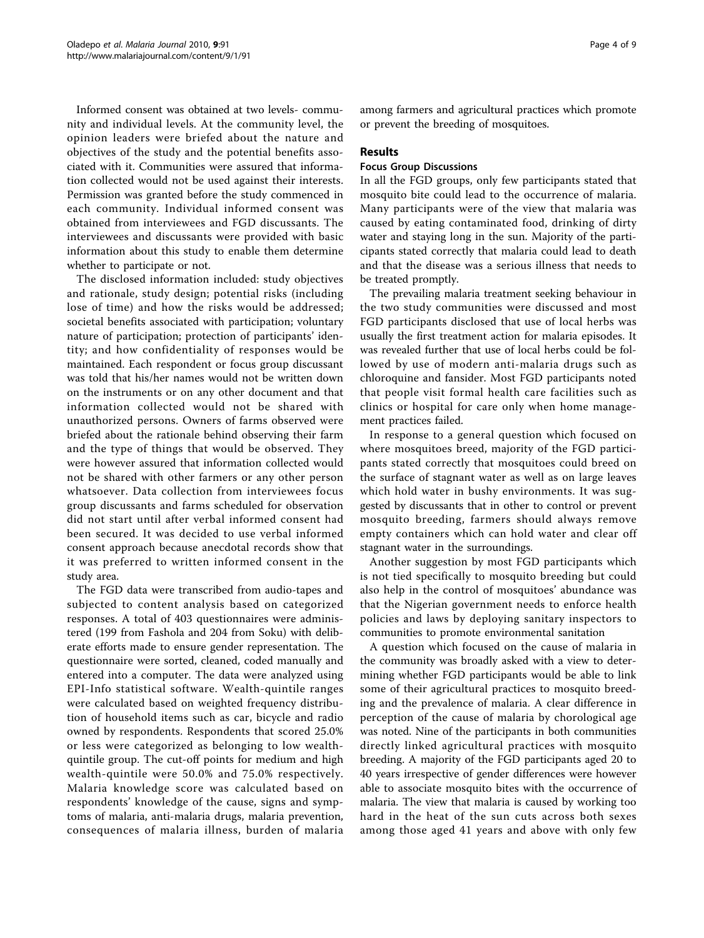Informed consent was obtained at two levels- community and individual levels. At the community level, the opinion leaders were briefed about the nature and objectives of the study and the potential benefits associated with it. Communities were assured that information collected would not be used against their interests. Permission was granted before the study commenced in each community. Individual informed consent was obtained from interviewees and FGD discussants. The interviewees and discussants were provided with basic information about this study to enable them determine whether to participate or not.

The disclosed information included: study objectives and rationale, study design; potential risks (including lose of time) and how the risks would be addressed; societal benefits associated with participation; voluntary nature of participation; protection of participants' identity; and how confidentiality of responses would be maintained. Each respondent or focus group discussant was told that his/her names would not be written down on the instruments or on any other document and that information collected would not be shared with unauthorized persons. Owners of farms observed were briefed about the rationale behind observing their farm and the type of things that would be observed. They were however assured that information collected would not be shared with other farmers or any other person whatsoever. Data collection from interviewees focus group discussants and farms scheduled for observation did not start until after verbal informed consent had been secured. It was decided to use verbal informed consent approach because anecdotal records show that it was preferred to written informed consent in the study area.

The FGD data were transcribed from audio-tapes and subjected to content analysis based on categorized responses. A total of 403 questionnaires were administered (199 from Fashola and 204 from Soku) with deliberate efforts made to ensure gender representation. The questionnaire were sorted, cleaned, coded manually and entered into a computer. The data were analyzed using EPI-Info statistical software. Wealth-quintile ranges were calculated based on weighted frequency distribution of household items such as car, bicycle and radio owned by respondents. Respondents that scored 25.0% or less were categorized as belonging to low wealthquintile group. The cut-off points for medium and high wealth-quintile were 50.0% and 75.0% respectively. Malaria knowledge score was calculated based on respondents' knowledge of the cause, signs and symptoms of malaria, anti-malaria drugs, malaria prevention, consequences of malaria illness, burden of malaria among farmers and agricultural practices which promote or prevent the breeding of mosquitoes.

#### Results

#### Focus Group Discussions

In all the FGD groups, only few participants stated that mosquito bite could lead to the occurrence of malaria. Many participants were of the view that malaria was caused by eating contaminated food, drinking of dirty water and staying long in the sun. Majority of the participants stated correctly that malaria could lead to death and that the disease was a serious illness that needs to be treated promptly.

The prevailing malaria treatment seeking behaviour in the two study communities were discussed and most FGD participants disclosed that use of local herbs was usually the first treatment action for malaria episodes. It was revealed further that use of local herbs could be followed by use of modern anti-malaria drugs such as chloroquine and fansider. Most FGD participants noted that people visit formal health care facilities such as clinics or hospital for care only when home management practices failed.

In response to a general question which focused on where mosquitoes breed, majority of the FGD participants stated correctly that mosquitoes could breed on the surface of stagnant water as well as on large leaves which hold water in bushy environments. It was suggested by discussants that in other to control or prevent mosquito breeding, farmers should always remove empty containers which can hold water and clear off stagnant water in the surroundings.

Another suggestion by most FGD participants which is not tied specifically to mosquito breeding but could also help in the control of mosquitoes' abundance was that the Nigerian government needs to enforce health policies and laws by deploying sanitary inspectors to communities to promote environmental sanitation

A question which focused on the cause of malaria in the community was broadly asked with a view to determining whether FGD participants would be able to link some of their agricultural practices to mosquito breeding and the prevalence of malaria. A clear difference in perception of the cause of malaria by chorological age was noted. Nine of the participants in both communities directly linked agricultural practices with mosquito breeding. A majority of the FGD participants aged 20 to 40 years irrespective of gender differences were however able to associate mosquito bites with the occurrence of malaria. The view that malaria is caused by working too hard in the heat of the sun cuts across both sexes among those aged 41 years and above with only few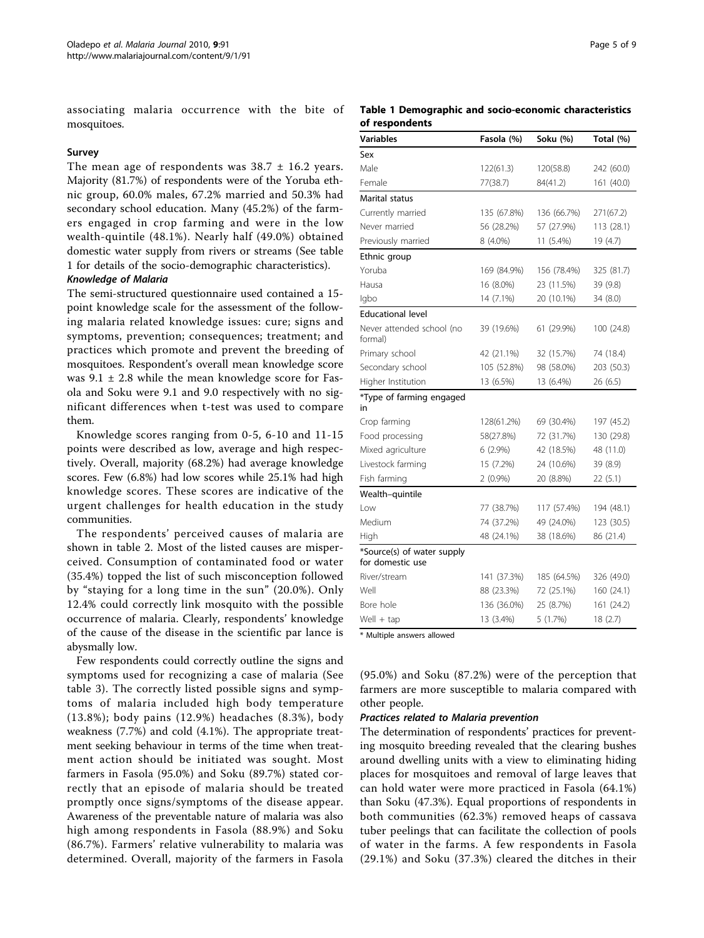associating malaria occurrence with the bite of mosquitoes.

#### Survey

The mean age of respondents was  $38.7 \pm 16.2$  years. Majority (81.7%) of respondents were of the Yoruba ethnic group, 60.0% males, 67.2% married and 50.3% had secondary school education. Many (45.2%) of the farmers engaged in crop farming and were in the low wealth-quintile (48.1%). Nearly half (49.0%) obtained domestic water supply from rivers or streams (See table 1 for details of the socio-demographic characteristics).

#### Knowledge of Malaria

The semi-structured questionnaire used contained a 15 point knowledge scale for the assessment of the following malaria related knowledge issues: cure; signs and symptoms, prevention; consequences; treatment; and practices which promote and prevent the breeding of mosquitoes. Respondent's overall mean knowledge score was  $9.1 \pm 2.8$  while the mean knowledge score for Fasola and Soku were 9.1 and 9.0 respectively with no significant differences when t-test was used to compare them.

Knowledge scores ranging from 0-5, 6-10 and 11-15 points were described as low, average and high respectively. Overall, majority (68.2%) had average knowledge scores. Few (6.8%) had low scores while 25.1% had high knowledge scores. These scores are indicative of the urgent challenges for health education in the study communities.

The respondents' perceived causes of malaria are shown in table [2](#page-5-0). Most of the listed causes are misperceived. Consumption of contaminated food or water (35.4%) topped the list of such misconception followed by "staying for a long time in the sun" (20.0%). Only 12.4% could correctly link mosquito with the possible occurrence of malaria. Clearly, respondents' knowledge of the cause of the disease in the scientific par lance is abysmally low.

Few respondents could correctly outline the signs and symptoms used for recognizing a case of malaria (See table [3\)](#page-5-0). The correctly listed possible signs and symptoms of malaria included high body temperature (13.8%); body pains (12.9%) headaches (8.3%), body weakness (7.7%) and cold (4.1%). The appropriate treatment seeking behaviour in terms of the time when treatment action should be initiated was sought. Most farmers in Fasola (95.0%) and Soku (89.7%) stated correctly that an episode of malaria should be treated promptly once signs/symptoms of the disease appear. Awareness of the preventable nature of malaria was also high among respondents in Fasola (88.9%) and Soku (86.7%). Farmers' relative vulnerability to malaria was determined. Overall, majority of the farmers in Fasola

|  |                |  | Table 1 Demographic and socio-economic characteristics |  |  |
|--|----------------|--|--------------------------------------------------------|--|--|
|  | of respondents |  |                                                        |  |  |

| Variables                                      | Fasola (%)  | Soku (%)    | Total (%)  |
|------------------------------------------------|-------------|-------------|------------|
| Sex                                            |             |             |            |
| Male                                           | 122(61.3)   | 120(58.8)   | 242 (60.0) |
| Female                                         | 77(38.7)    | 84(41.2)    | 161 (40.0) |
| Marital status                                 |             |             |            |
| Currently married                              | 135 (67.8%) | 136 (66.7%) | 271(67.2)  |
| Never married                                  | 56 (28.2%)  | 57 (27.9%)  | 113 (28.1) |
| Previously married                             | 8 (4.0%)    | 11 (5.4%)   | 19 (4.7)   |
| Ethnic group                                   |             |             |            |
| Yoruba                                         | 169 (84.9%) | 156 (78.4%) | 325 (81.7) |
| Hausa                                          | 16 (8.0%)   | 23 (11.5%)  | 39 (9.8)   |
| lgbo                                           | 14 (7.1%)   | 20 (10.1%)  | 34 (8.0)   |
| <b>Educational level</b>                       |             |             |            |
| Never attended school (no<br>formal)           | 39 (19.6%)  | 61 (29.9%)  | 100 (24.8) |
| Primary school                                 | 42 (21.1%)  | 32 (15.7%)  | 74 (18.4)  |
| Secondary school                               | 105 (52.8%) | 98 (58.0%)  | 203 (50.3) |
| Higher Institution                             | 13 (6.5%)   | 13 (6.4%)   | 26 (6.5)   |
| *Type of farming engaged<br>in                 |             |             |            |
| Crop farming                                   | 128(61.2%)  | 69 (30.4%)  | 197 (45.2) |
| Food processing                                | 58(27.8%)   | 72 (31.7%)  | 130 (29.8) |
| Mixed agriculture                              | $6(2.9\%)$  | 42 (18.5%)  | 48 (11.0)  |
| Livestock farming                              | 15 (7.2%)   | 24 (10.6%)  | 39 (8.9)   |
| Fish farming                                   | $2(0.9\%)$  | 20 (8.8%)   | 22(5.1)    |
| Wealth-quintile                                |             |             |            |
| l ow                                           | 77 (38.7%)  | 117 (57.4%) | 194 (48.1) |
| Medium                                         | 74 (37.2%)  | 49 (24.0%)  | 123 (30.5) |
| High                                           | 48 (24.1%)  | 38 (18.6%)  | 86 (21.4)  |
| *Source(s) of water supply<br>for domestic use |             |             |            |
| River/stream                                   | 141 (37.3%) | 185 (64.5%) | 326 (49.0) |
| Well                                           | 88 (23.3%)  | 72 (25.1%)  | 160 (24.1) |
| Bore hole                                      | 136 (36.0%) | 25 (8.7%)   | 161 (24.2) |
| Well $+$ tap                                   | 13 (3.4%)   | 5(1.7%)     | 18(2.7)    |

\* Multiple answers allowed

(95.0%) and Soku (87.2%) were of the perception that farmers are more susceptible to malaria compared with other people.

#### Practices related to Malaria prevention

The determination of respondents' practices for preventing mosquito breeding revealed that the clearing bushes around dwelling units with a view to eliminating hiding places for mosquitoes and removal of large leaves that can hold water were more practiced in Fasola (64.1%) than Soku (47.3%). Equal proportions of respondents in both communities (62.3%) removed heaps of cassava tuber peelings that can facilitate the collection of pools of water in the farms. A few respondents in Fasola (29.1%) and Soku (37.3%) cleared the ditches in their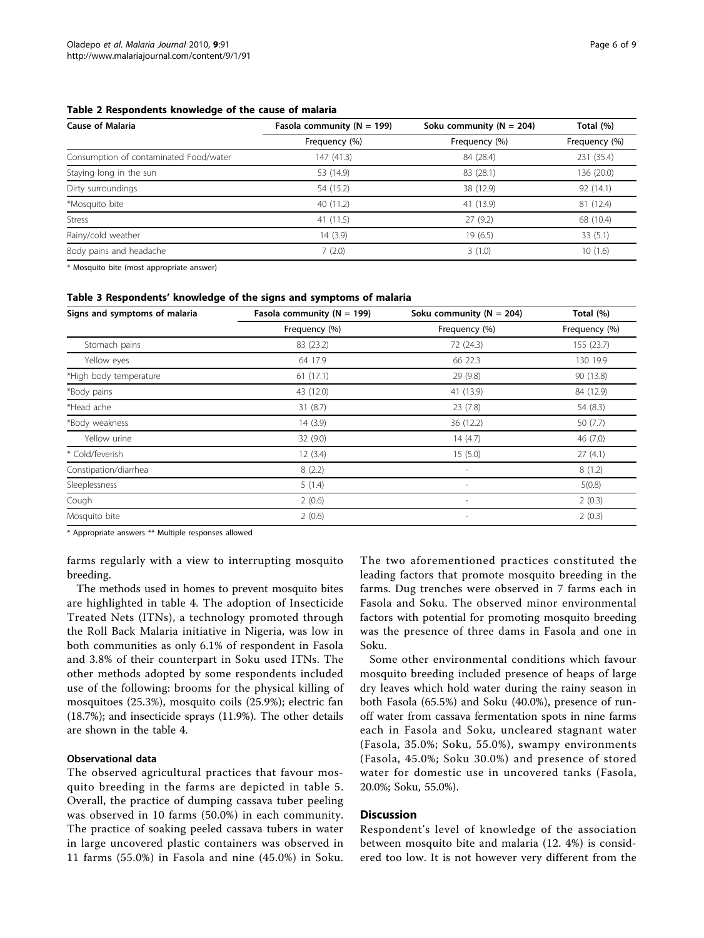# <span id="page-5-0"></span>Table 2 Respondents knowledge of the cause of malaria

| <b>Cause of Malaria</b>                | Fasola community ( $N = 199$ ) | Total (%)<br>Soku community ( $N = 204$ ) |               |
|----------------------------------------|--------------------------------|-------------------------------------------|---------------|
|                                        | Frequency (%)                  | Frequency (%)                             | Frequency (%) |
| Consumption of contaminated Food/water | 147 (41.3)                     | 84 (28.4)                                 | 231 (35.4)    |
| Staying long in the sun                | 53 (14.9)                      | 83 (28.1)                                 | 136 (20.0)    |
| Dirty surroundings                     | 54 (15.2)                      | 38 (12.9)                                 | 92 (14.1)     |
| *Mosquito bite                         | 40 (11.2)                      | 41 (13.9)                                 | 81 (12.4)     |
| <b>Stress</b>                          | 41 (11.5)                      | 27(9.2)                                   | 68 (10.4)     |
| Rainy/cold weather                     | 14(3.9)                        | 19 (6.5)                                  | 33(5.1)       |
| Body pains and headache                | 7(2.0)                         | 3(1.0)                                    | 10(1.6)       |

\* Mosquito bite (most appropriate answer)

# Table 3 Respondents' knowledge of the signs and symptoms of malaria

| Signs and symptoms of malaria | Fasola community ( $N = 199$ ) | Soku community ( $N = 204$ ) | Total (%)     |
|-------------------------------|--------------------------------|------------------------------|---------------|
|                               | Frequency (%)                  | Frequency (%)                | Frequency (%) |
| Stomach pains                 | 83 (23.2)                      | 72 (24.3)                    | 155 (23.7)    |
| Yellow eyes                   | 64 17.9                        | 66 22.3                      | 130 19.9      |
| *High body temperature        | 61(17.1)                       | 29(9.8)                      | 90 (13.8)     |
| *Body pains                   | 43 (12.0)                      | 41 (13.9)                    | 84 (12.9)     |
| *Head ache                    | 31(8.7)                        | 23(7.8)                      | 54 (8.3)      |
| *Body weakness                | 14(3.9)                        | 36 (12.2)                    | 50 $(7.7)$    |
| Yellow urine                  | 32(9.0)                        | 14(4.7)                      | 46 (7.0)      |
| * Cold/feverish               | 12(3.4)                        | 15(5.0)                      | 27(4.1)       |
| Constipation/diarrhea         | 8(2.2)                         | $\qquad \qquad \blacksquare$ | 8(1.2)        |
| Sleeplessness                 | 5(1.4)                         | $\overline{\phantom{0}}$     | 5(0.8)        |
| Cough                         | 2(0.6)                         | $\overline{\phantom{0}}$     | 2(0.3)        |
| Mosquito bite                 | 2(0.6)                         | $\qquad \qquad \blacksquare$ | 2(0.3)        |

\* Appropriate answers \*\* Multiple responses allowed

farms regularly with a view to interrupting mosquito breeding.

The methods used in homes to prevent mosquito bites are highlighted in table [4.](#page-6-0) The adoption of Insecticide Treated Nets (ITNs), a technology promoted through the Roll Back Malaria initiative in Nigeria, was low in both communities as only 6.1% of respondent in Fasola and 3.8% of their counterpart in Soku used ITNs. The other methods adopted by some respondents included use of the following: brooms for the physical killing of mosquitoes (25.3%), mosquito coils (25.9%); electric fan (18.7%); and insecticide sprays (11.9%). The other details are shown in the table [4.](#page-6-0)

# Observational data

The observed agricultural practices that favour mosquito breeding in the farms are depicted in table [5](#page-6-0). Overall, the practice of dumping cassava tuber peeling was observed in 10 farms (50.0%) in each community. The practice of soaking peeled cassava tubers in water in large uncovered plastic containers was observed in 11 farms (55.0%) in Fasola and nine (45.0%) in Soku. The two aforementioned practices constituted the leading factors that promote mosquito breeding in the farms. Dug trenches were observed in 7 farms each in Fasola and Soku. The observed minor environmental factors with potential for promoting mosquito breeding was the presence of three dams in Fasola and one in Soku.

Some other environmental conditions which favour mosquito breeding included presence of heaps of large dry leaves which hold water during the rainy season in both Fasola (65.5%) and Soku (40.0%), presence of runoff water from cassava fermentation spots in nine farms each in Fasola and Soku, uncleared stagnant water (Fasola, 35.0%; Soku, 55.0%), swampy environments (Fasola, 45.0%; Soku 30.0%) and presence of stored water for domestic use in uncovered tanks (Fasola, 20.0%; Soku, 55.0%).

# Discussion

Respondent's level of knowledge of the association between mosquito bite and malaria (12. 4%) is considered too low. It is not however very different from the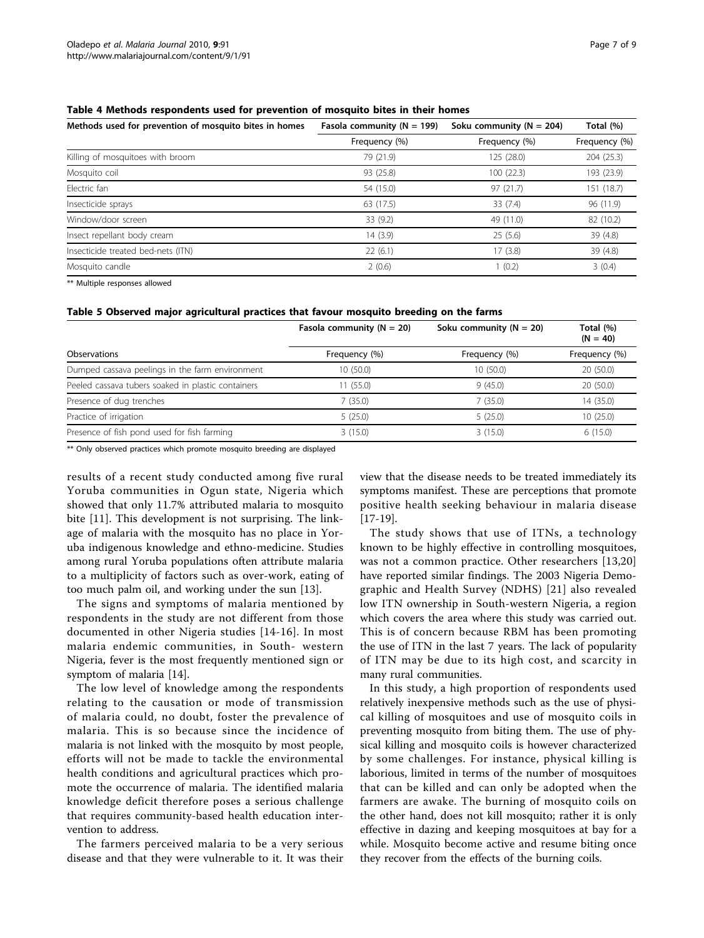| Page 7 of 9 |  |  |
|-------------|--|--|
|             |  |  |

<span id="page-6-0"></span>

| Methods used for prevention of mosquito bites in homes | Fasola community ( $N = 199$ ) | Soku community ( $N = 204$ ) | Total (%)     |  |
|--------------------------------------------------------|--------------------------------|------------------------------|---------------|--|
|                                                        | Frequency (%)                  | Frequency (%)                | Frequency (%) |  |
| Killing of mosquitoes with broom                       | 79 (21.9)                      | 125 (28.0)                   | 204(25.3)     |  |
| Mosquito coil                                          | 93 (25.8)                      | 100 (22.3)                   | 193 (23.9)    |  |
| Flectric fan                                           | 54 (15.0)                      | 97(21.7)                     | 151 (18.7)    |  |
| Insecticide sprays                                     | 63 (17.5)                      | 33(7.4)                      | 96 (11.9)     |  |
| Window/door screen                                     | 33(9.2)                        | 49 (11.0)                    | 82 (10.2)     |  |
| Insect repellant body cream                            | 14(3.9)                        | 25(5.6)                      | 39 (4.8)      |  |
| Insecticide treated bed-nets (ITN)                     | 22(6.1)                        | 17(3.8)                      | 39 (4.8)      |  |
| Mosquito candle                                        | 2(0.6)                         | (0.2)                        | 3(0.4)        |  |

\*\* Multiple responses allowed

Table 5 Observed major agricultural practices that favour mosquito breeding on the farms

|                                                    | Fasola community ( $N = 20$ ) | Soku community ( $N = 20$ ) | Total (%)<br>$(N = 40)$ |
|----------------------------------------------------|-------------------------------|-----------------------------|-------------------------|
| <b>Observations</b>                                | Frequency (%)                 | Frequency (%)               | Frequency (%)           |
| Dumped cassava peelings in the farm environment    | 10(50.0)                      | 10(50.0)                    | 20(50.0)                |
| Peeled cassava tubers soaked in plastic containers | 11 (55.0)                     | 9(45.0)                     | 20(50.0)                |
| Presence of dug trenches                           | 7(35.0)                       | 7(35.0)                     | 14 (35.0)               |
| Practice of irrigation                             | 5(25.0)                       | 5(25.0)                     | 10(25.0)                |
| Presence of fish pond used for fish farming        | 3(15.0)                       | 3(15.0)                     | 6(15.0)                 |

\*\* Only observed practices which promote mosquito breeding are displayed

results of a recent study conducted among five rural Yoruba communities in Ogun state, Nigeria which showed that only 11.7% attributed malaria to mosquito bite [[11\]](#page-8-0). This development is not surprising. The linkage of malaria with the mosquito has no place in Yoruba indigenous knowledge and ethno-medicine. Studies among rural Yoruba populations often attribute malaria to a multiplicity of factors such as over-work, eating of too much palm oil, and working under the sun [\[13\]](#page-8-0).

The signs and symptoms of malaria mentioned by respondents in the study are not different from those documented in other Nigeria studies [\[14-16\]](#page-8-0). In most malaria endemic communities, in South- western Nigeria, fever is the most frequently mentioned sign or symptom of malaria [\[14](#page-8-0)].

The low level of knowledge among the respondents relating to the causation or mode of transmission of malaria could, no doubt, foster the prevalence of malaria. This is so because since the incidence of malaria is not linked with the mosquito by most people, efforts will not be made to tackle the environmental health conditions and agricultural practices which promote the occurrence of malaria. The identified malaria knowledge deficit therefore poses a serious challenge that requires community-based health education intervention to address.

The farmers perceived malaria to be a very serious disease and that they were vulnerable to it. It was their view that the disease needs to be treated immediately its symptoms manifest. These are perceptions that promote positive health seeking behaviour in malaria disease [[17-19\]](#page-8-0).

The study shows that use of ITNs, a technology known to be highly effective in controlling mosquitoes, was not a common practice. Other researchers [[13,20](#page-8-0)] have reported similar findings. The 2003 Nigeria Demographic and Health Survey (NDHS) [[21](#page-8-0)] also revealed low ITN ownership in South-western Nigeria, a region which covers the area where this study was carried out. This is of concern because RBM has been promoting the use of ITN in the last 7 years. The lack of popularity of ITN may be due to its high cost, and scarcity in many rural communities.

In this study, a high proportion of respondents used relatively inexpensive methods such as the use of physical killing of mosquitoes and use of mosquito coils in preventing mosquito from biting them. The use of physical killing and mosquito coils is however characterized by some challenges. For instance, physical killing is laborious, limited in terms of the number of mosquitoes that can be killed and can only be adopted when the farmers are awake. The burning of mosquito coils on the other hand, does not kill mosquito; rather it is only effective in dazing and keeping mosquitoes at bay for a while. Mosquito become active and resume biting once they recover from the effects of the burning coils.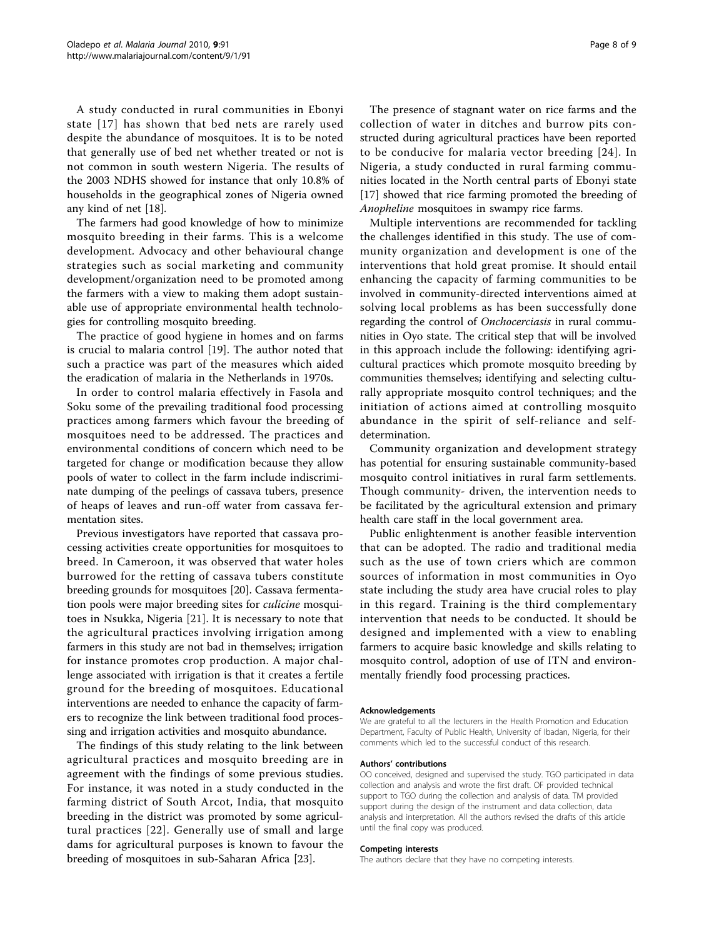A study conducted in rural communities in Ebonyi state [[17\]](#page-8-0) has shown that bed nets are rarely used despite the abundance of mosquitoes. It is to be noted that generally use of bed net whether treated or not is not common in south western Nigeria. The results of the 2003 NDHS showed for instance that only 10.8% of households in the geographical zones of Nigeria owned any kind of net [[18\]](#page-8-0).

The farmers had good knowledge of how to minimize mosquito breeding in their farms. This is a welcome development. Advocacy and other behavioural change strategies such as social marketing and community development/organization need to be promoted among the farmers with a view to making them adopt sustainable use of appropriate environmental health technologies for controlling mosquito breeding.

The practice of good hygiene in homes and on farms is crucial to malaria control [[19\]](#page-8-0). The author noted that such a practice was part of the measures which aided the eradication of malaria in the Netherlands in 1970s.

In order to control malaria effectively in Fasola and Soku some of the prevailing traditional food processing practices among farmers which favour the breeding of mosquitoes need to be addressed. The practices and environmental conditions of concern which need to be targeted for change or modification because they allow pools of water to collect in the farm include indiscriminate dumping of the peelings of cassava tubers, presence of heaps of leaves and run-off water from cassava fermentation sites.

Previous investigators have reported that cassava processing activities create opportunities for mosquitoes to breed. In Cameroon, it was observed that water holes burrowed for the retting of cassava tubers constitute breeding grounds for mosquitoes [[20\]](#page-8-0). Cassava fermentation pools were major breeding sites for culicine mosquitoes in Nsukka, Nigeria [[21](#page-8-0)]. It is necessary to note that the agricultural practices involving irrigation among farmers in this study are not bad in themselves; irrigation for instance promotes crop production. A major challenge associated with irrigation is that it creates a fertile ground for the breeding of mosquitoes. Educational interventions are needed to enhance the capacity of farmers to recognize the link between traditional food processing and irrigation activities and mosquito abundance.

The findings of this study relating to the link between agricultural practices and mosquito breeding are in agreement with the findings of some previous studies. For instance, it was noted in a study conducted in the farming district of South Arcot, India, that mosquito breeding in the district was promoted by some agricultural practices [[22\]](#page-8-0). Generally use of small and large dams for agricultural purposes is known to favour the breeding of mosquitoes in sub-Saharan Africa [[23](#page-8-0)].

The presence of stagnant water on rice farms and the collection of water in ditches and burrow pits constructed during agricultural practices have been reported to be conducive for malaria vector breeding [[24\]](#page-8-0). In Nigeria, a study conducted in rural farming communities located in the North central parts of Ebonyi state [[17\]](#page-8-0) showed that rice farming promoted the breeding of Anopheline mosquitoes in swampy rice farms.

Multiple interventions are recommended for tackling the challenges identified in this study. The use of community organization and development is one of the interventions that hold great promise. It should entail enhancing the capacity of farming communities to be involved in community-directed interventions aimed at solving local problems as has been successfully done regarding the control of Onchocerciasis in rural communities in Oyo state. The critical step that will be involved in this approach include the following: identifying agricultural practices which promote mosquito breeding by communities themselves; identifying and selecting culturally appropriate mosquito control techniques; and the initiation of actions aimed at controlling mosquito abundance in the spirit of self-reliance and selfdetermination.

Community organization and development strategy has potential for ensuring sustainable community-based mosquito control initiatives in rural farm settlements. Though community- driven, the intervention needs to be facilitated by the agricultural extension and primary health care staff in the local government area.

Public enlightenment is another feasible intervention that can be adopted. The radio and traditional media such as the use of town criers which are common sources of information in most communities in Oyo state including the study area have crucial roles to play in this regard. Training is the third complementary intervention that needs to be conducted. It should be designed and implemented with a view to enabling farmers to acquire basic knowledge and skills relating to mosquito control, adoption of use of ITN and environmentally friendly food processing practices.

#### Acknowledgements

We are grateful to all the lecturers in the Health Promotion and Education Department, Faculty of Public Health, University of Ibadan, Nigeria, for their comments which led to the successful conduct of this research.

#### Authors' contributions

OO conceived, designed and supervised the study. TGO participated in data collection and analysis and wrote the first draft. OF provided technical support to TGO during the collection and analysis of data. TM provided support during the design of the instrument and data collection, data analysis and interpretation. All the authors revised the drafts of this article until the final copy was produced.

#### Competing interests

The authors declare that they have no competing interests.